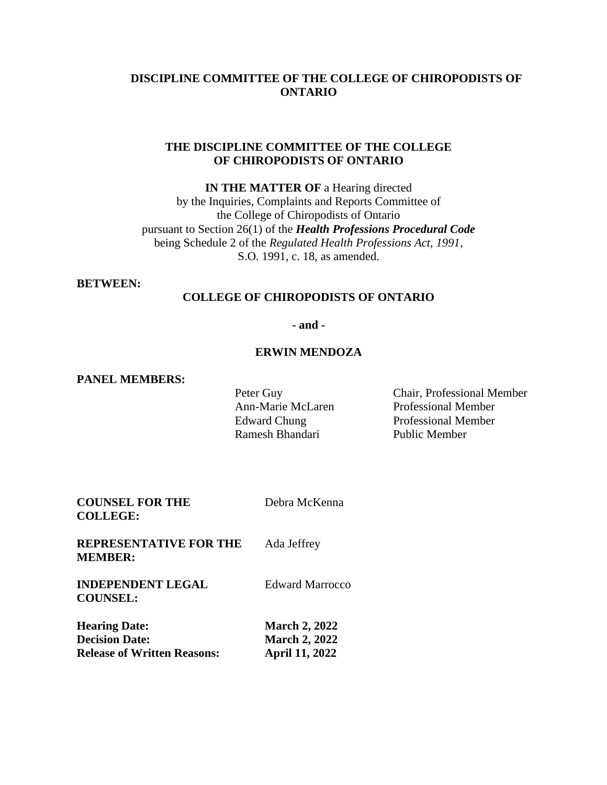## **DISCIPLINE COMMITTEE OF THE COLLEGE OF CHIROPODISTS OF ONTARIO**

### **THE DISCIPLINE COMMITTEE OF THE COLLEGE OF CHIROPODISTS OF ONTARIO**

**IN THE MATTER OF** a Hearing directed by the Inquiries, Complaints and Reports Committee of the College of Chiropodists of Ontario pursuant to Section 26(1) of the *Health Professions Procedural Code* being Schedule 2 of the *Regulated Health Professions Act, 1991*, S.O. 1991, c. 18, as amended.

#### **BETWEEN:**

# **COLLEGE OF CHIROPODISTS OF ONTARIO**

**- and -**

#### **ERWIN MENDOZA**

#### **PANEL MEMBERS:**

Ramesh Bhandari Public Member

Peter Guy Chair, Professional Member Ann-Marie McLaren Professional Member Edward Chung Professional Member

| <b>COUNSEL FOR THE</b><br><b>COLLEGE:</b>                                           | Debra McKenna                                                         |
|-------------------------------------------------------------------------------------|-----------------------------------------------------------------------|
| <b>REPRESENTATIVE FOR THE</b><br><b>MEMBER:</b>                                     | Ada Jeffrey                                                           |
| <b>INDEPENDENT LEGAL</b><br><b>COUNSEL:</b>                                         | <b>Edward Marrocco</b>                                                |
| <b>Hearing Date:</b><br><b>Decision Date:</b><br><b>Release of Written Reasons:</b> | <b>March 2, 2022</b><br><b>March 2, 2022</b><br><b>April 11, 2022</b> |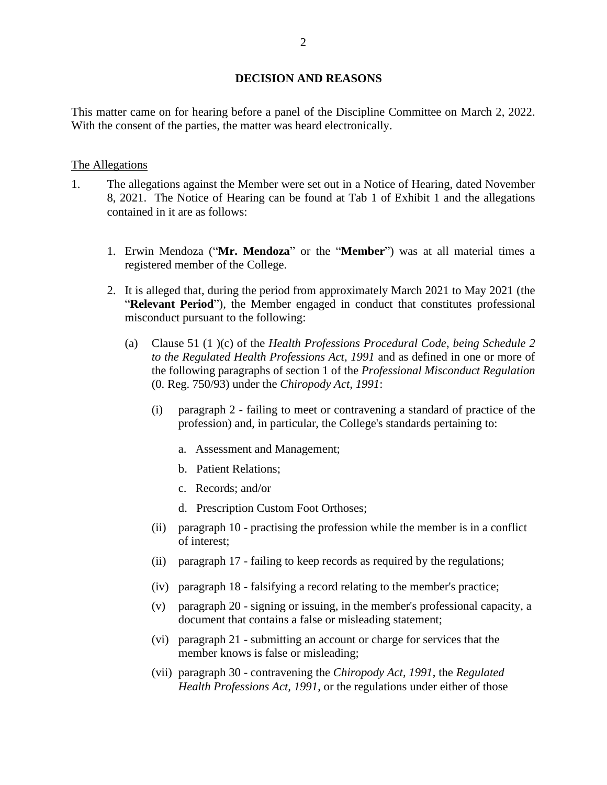#### **DECISION AND REASONS**

This matter came on for hearing before a panel of the Discipline Committee on March 2, 2022. With the consent of the parties, the matter was heard electronically.

### The Allegations

- 1. The allegations against the Member were set out in a Notice of Hearing, dated November 8, 2021. The Notice of Hearing can be found at Tab 1 of Exhibit 1 and the allegations contained in it are as follows:
	- 1. Erwin Mendoza ("**Mr. Mendoza**" or the "**Member**") was at all material times a registered member of the College.
	- 2. It is alleged that, during the period from approximately March 2021 to May 2021 (the "**Relevant Period**"), the Member engaged in conduct that constitutes professional misconduct pursuant to the following:
		- (a) Clause 51 (1 )(c) of the *Health Professions Procedural Code*, *being Schedule 2 to the Regulated Health Professions Act, 1991* and as defined in one or more of the following paragraphs of section 1 of the *Professional Misconduct Regulation* (0. Reg. 750/93) under the *Chiropody Act, 1991*:
			- (i) paragraph 2 failing to meet or contravening a standard of practice of the profession) and, in particular, the College's standards pertaining to:
				- a. Assessment and Management;
				- b. Patient Relations;
				- c. Records; and/or
				- d. Prescription Custom Foot Orthoses;
			- (ii) paragraph 10 practising the profession while the member is in a conflict of interest;
			- (ii) paragraph 17 failing to keep records as required by the regulations;
			- (iv) paragraph 18 falsifying a record relating to the member's practice;
			- (v) paragraph 20 signing or issuing, in the member's professional capacity, a document that contains a false or misleading statement;
			- (vi) paragraph 21 submitting an account or charge for services that the member knows is false or misleading;
			- (vii) paragraph 30 contravening the *Chiropody Act, 1991*, the *Regulated Health Professions Act, 1991*, or the regulations under either of those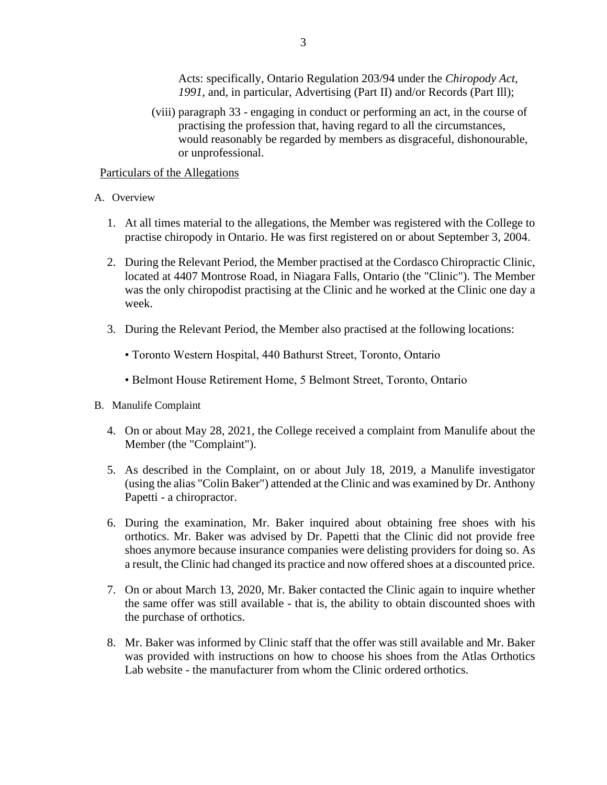Acts: specifically, Ontario Regulation 203/94 under the *Chiropody Act, 1991*, and, in particular, Advertising (Part II) and/or Records (Part Ill);

(viii) paragraph 33 - engaging in conduct or performing an act, in the course of practising the profession that, having regard to all the circumstances, would reasonably be regarded by members as disgraceful, dishonourable, or unprofessional.

Particulars of the Allegations

- A. Overview
	- 1. At all times material to the allegations, the Member was registered with the College to practise chiropody in Ontario. He was first registered on or about September 3, 2004.
	- 2. During the Relevant Period, the Member practised at the Cordasco Chiropractic Clinic, located at 4407 Montrose Road, in Niagara Falls, Ontario (the "Clinic"). The Member was the only chiropodist practising at the Clinic and he worked at the Clinic one day a week.
	- 3. During the Relevant Period, the Member also practised at the following locations:
		- Toronto Western Hospital, 440 Bathurst Street, Toronto, Ontario
		- Belmont House Retirement Home, 5 Belmont Street, Toronto, Ontario
- B. Manulife Complaint
	- 4. On or about May 28, 2021, the College received a complaint from Manulife about the Member (the "Complaint").
	- 5. As described in the Complaint, on or about July 18, 2019, a Manulife investigator (using the alias "Colin Baker") attended at the Clinic and was examined by Dr. Anthony Papetti - a chiropractor.
	- 6. During the examination, Mr. Baker inquired about obtaining free shoes with his orthotics. Mr. Baker was advised by Dr. Papetti that the Clinic did not provide free shoes anymore because insurance companies were delisting providers for doing so. As a result, the Clinic had changed its practice and now offered shoes at a discounted price.
	- 7. On or about March 13, 2020, Mr. Baker contacted the Clinic again to inquire whether the same offer was still available - that is, the ability to obtain discounted shoes with the purchase of orthotics.
	- 8. Mr. Baker was informed by Clinic staff that the offer was still available and Mr. Baker was provided with instructions on how to choose his shoes from the Atlas Orthotics Lab website - the manufacturer from whom the Clinic ordered orthotics.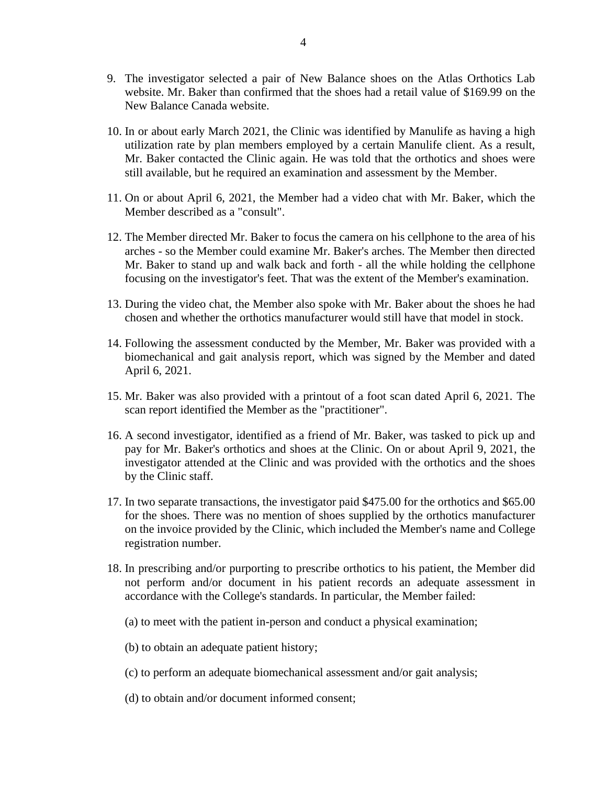- 9. The investigator selected a pair of New Balance shoes on the Atlas Orthotics Lab website. Mr. Baker than confirmed that the shoes had a retail value of \$169.99 on the New Balance Canada website.
- 10. In or about early March 2021, the Clinic was identified by Manulife as having a high utilization rate by plan members employed by a certain Manulife client. As a result, Mr. Baker contacted the Clinic again. He was told that the orthotics and shoes were still available, but he required an examination and assessment by the Member.
- 11. On or about April 6, 2021, the Member had a video chat with Mr. Baker, which the Member described as a "consult".
- 12. The Member directed Mr. Baker to focus the camera on his cellphone to the area of his arches - so the Member could examine Mr. Baker's arches. The Member then directed Mr. Baker to stand up and walk back and forth - all the while holding the cellphone focusing on the investigator's feet. That was the extent of the Member's examination.
- 13. During the video chat, the Member also spoke with Mr. Baker about the shoes he had chosen and whether the orthotics manufacturer would still have that model in stock.
- 14. Following the assessment conducted by the Member, Mr. Baker was provided with a biomechanical and gait analysis report, which was signed by the Member and dated April 6, 2021.
- 15. Mr. Baker was also provided with a printout of a foot scan dated April 6, 2021. The scan report identified the Member as the "practitioner".
- 16. A second investigator, identified as a friend of Mr. Baker, was tasked to pick up and pay for Mr. Baker's orthotics and shoes at the Clinic. On or about April 9, 2021, the investigator attended at the Clinic and was provided with the orthotics and the shoes by the Clinic staff.
- 17. In two separate transactions, the investigator paid \$475.00 for the orthotics and \$65.00 for the shoes. There was no mention of shoes supplied by the orthotics manufacturer on the invoice provided by the Clinic, which included the Member's name and College registration number.
- 18. In prescribing and/or purporting to prescribe orthotics to his patient, the Member did not perform and/or document in his patient records an adequate assessment in accordance with the College's standards. In particular, the Member failed:
	- (a) to meet with the patient in-person and conduct a physical examination;
	- (b) to obtain an adequate patient history;
	- (c) to perform an adequate biomechanical assessment and/or gait analysis;
	- (d) to obtain and/or document informed consent;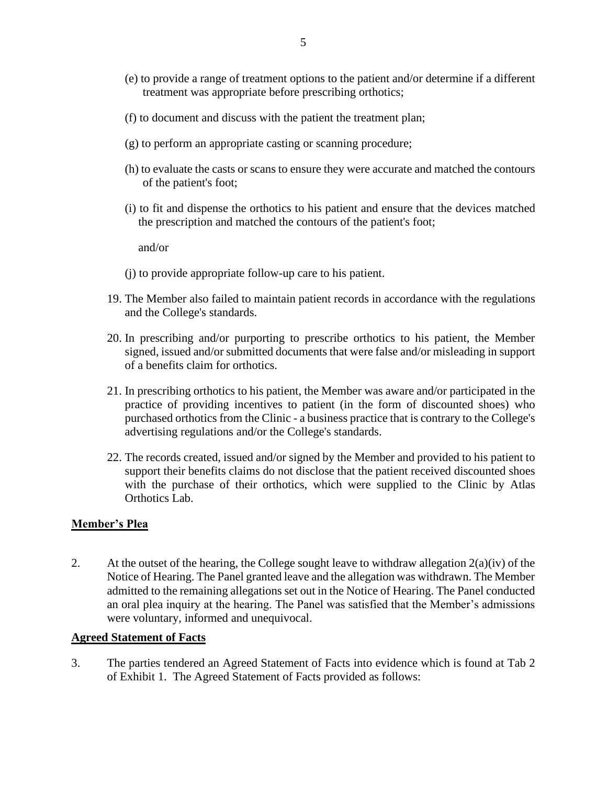- (e) to provide a range of treatment options to the patient and/or determine if a different treatment was appropriate before prescribing orthotics;
- (f) to document and discuss with the patient the treatment plan;
- (g) to perform an appropriate casting or scanning procedure;
- (h) to evaluate the casts or scans to ensure they were accurate and matched the contours of the patient's foot;
- (i) to fit and dispense the orthotics to his patient and ensure that the devices matched the prescription and matched the contours of the patient's foot;

and/or

- (j) to provide appropriate follow-up care to his patient.
- 19. The Member also failed to maintain patient records in accordance with the regulations and the College's standards.
- 20. In prescribing and/or purporting to prescribe orthotics to his patient, the Member signed, issued and/or submitted documents that were false and/or misleading in support of a benefits claim for orthotics.
- 21. In prescribing orthotics to his patient, the Member was aware and/or participated in the practice of providing incentives to patient (in the form of discounted shoes) who purchased orthotics from the Clinic - a business practice that is contrary to the College's advertising regulations and/or the College's standards.
- 22. The records created, issued and/or signed by the Member and provided to his patient to support their benefits claims do not disclose that the patient received discounted shoes with the purchase of their orthotics, which were supplied to the Clinic by Atlas Orthotics Lab.

### **Member's Plea**

2. At the outset of the hearing, the College sought leave to withdraw allegation  $2(a)(iv)$  of the Notice of Hearing. The Panel granted leave and the allegation was withdrawn. The Member admitted to the remaining allegations set out in the Notice of Hearing. The Panel conducted an oral plea inquiry at the hearing. The Panel was satisfied that the Member's admissions were voluntary, informed and unequivocal.

### **Agreed Statement of Facts**

3. The parties tendered an Agreed Statement of Facts into evidence which is found at Tab 2 of Exhibit 1. The Agreed Statement of Facts provided as follows: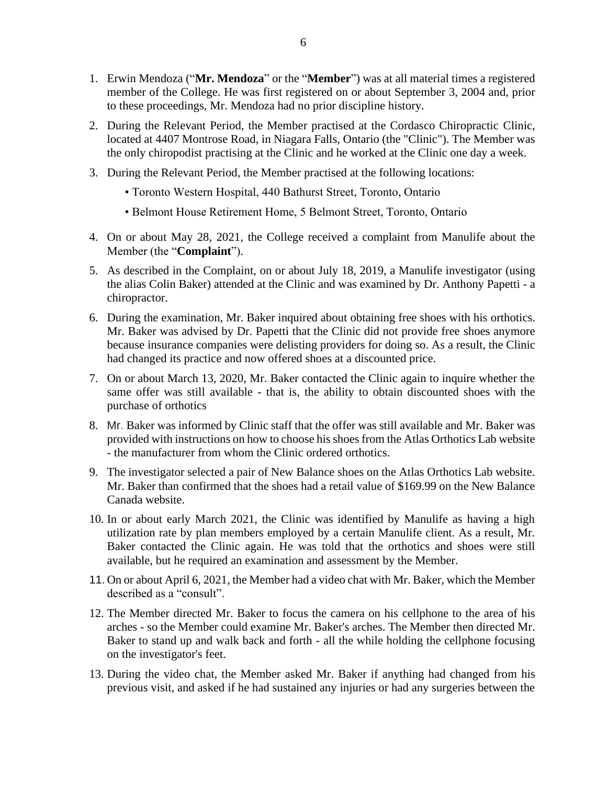- 1. Erwin Mendoza ("**Mr. Mendoza**" or the "**Member**") was at all material times a registered member of the College. He was first registered on or about September 3, 2004 and, prior to these proceedings, Mr. Mendoza had no prior discipline history.
- 2. During the Relevant Period, the Member practised at the Cordasco Chiropractic Clinic, located at 4407 Montrose Road, in Niagara Falls, Ontario (the "Clinic"). The Member was the only chiropodist practising at the Clinic and he worked at the Clinic one day a week.
- 3. During the Relevant Period, the Member practised at the following locations:
	- Toronto Western Hospital, 440 Bathurst Street, Toronto, Ontario
	- Belmont House Retirement Home, 5 Belmont Street, Toronto, Ontario
- 4. On or about May 28, 2021, the College received a complaint from Manulife about the Member (the "**Complaint**").
- 5. As described in the Complaint, on or about July 18, 2019, a Manulife investigator (using the alias Colin Baker) attended at the Clinic and was examined by Dr. Anthony Papetti - a chiropractor.
- 6. During the examination, Mr. Baker inquired about obtaining free shoes with his orthotics. Mr. Baker was advised by Dr. Papetti that the Clinic did not provide free shoes anymore because insurance companies were delisting providers for doing so. As a result, the Clinic had changed its practice and now offered shoes at a discounted price.
- 7. On or about March 13, 2020, Mr. Baker contacted the Clinic again to inquire whether the same offer was still available - that is, the ability to obtain discounted shoes with the purchase of orthotics
- 8. Mr. Baker was informed by Clinic staff that the offer was still available and Mr. Baker was provided with instructions on how to choose his shoes from the Atlas Orthotics Lab website - the manufacturer from whom the Clinic ordered orthotics.
- 9. The investigator selected a pair of New Balance shoes on the Atlas Orthotics Lab website. Mr. Baker than confirmed that the shoes had a retail value of \$169.99 on the New Balance Canada website.
- 10. In or about early March 2021, the Clinic was identified by Manulife as having a high utilization rate by plan members employed by a certain Manulife client. As a result, Mr. Baker contacted the Clinic again. He was told that the orthotics and shoes were still available, but he required an examination and assessment by the Member.
- 11. On or about April 6, 2021, the Member had a video chat with Mr. Baker, which the Member described as a "consult".
- 12. The Member directed Mr. Baker to focus the camera on his cellphone to the area of his arches - so the Member could examine Mr. Baker's arches. The Member then directed Mr. Baker to stand up and walk back and forth - all the while holding the cellphone focusing on the investigator's feet.
- 13. During the video chat, the Member asked Mr. Baker if anything had changed from his previous visit, and asked if he had sustained any injuries or had any surgeries between the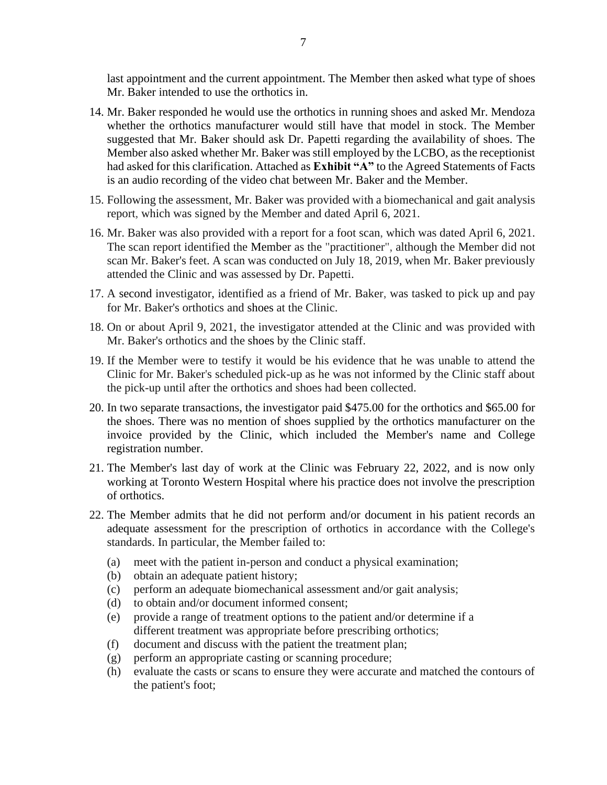last appointment and the current appointment. The Member then asked what type of shoes Mr. Baker intended to use the orthotics in.

- 14. Mr. Baker responded he would use the orthotics in running shoes and asked Mr. Mendoza whether the orthotics manufacturer would still have that model in stock. The Member suggested that Mr. Baker should ask Dr. Papetti regarding the availability of shoes. The Member also asked whether Mr. Baker was still employed by the LCBO, as the receptionist had asked for this clarification. Attached as **Exhibit "A"** to the Agreed Statements of Facts is an audio recording of the video chat between Mr. Baker and the Member.
- 15. Following the assessment, Mr. Baker was provided with a biomechanical and gait analysis report, which was signed by the Member and dated April 6, 2021.
- 16. Mr. Baker was also provided with a report for a foot scan, which was dated April 6, 2021. The scan report identified the Member as the "practitioner", although the Member did not scan Mr. Baker's feet. A scan was conducted on July 18, 2019, when Mr. Baker previously attended the Clinic and was assessed by Dr. Papetti.
- 17. A second investigator, identified as a friend of Mr. Baker, was tasked to pick up and pay for Mr. Baker's orthotics and shoes at the Clinic.
- 18. On or about April 9, 2021, the investigator attended at the Clinic and was provided with Mr. Baker's orthotics and the shoes by the Clinic staff.
- 19. If the Member were to testify it would be his evidence that he was unable to attend the Clinic for Mr. Baker's scheduled pick-up as he was not informed by the Clinic staff about the pick-up until after the orthotics and shoes had been collected.
- 20. In two separate transactions, the investigator paid \$475.00 for the orthotics and \$65.00 for the shoes. There was no mention of shoes supplied by the orthotics manufacturer on the invoice provided by the Clinic, which included the Member's name and College registration number.
- 21. The Member's last day of work at the Clinic was February 22, 2022, and is now only working at Toronto Western Hospital where his practice does not involve the prescription of orthotics.
- 22. The Member admits that he did not perform and/or document in his patient records an adequate assessment for the prescription of orthotics in accordance with the College's standards. In particular, the Member failed to:
	- (a) meet with the patient in-person and conduct a physical examination;
	- (b) obtain an adequate patient history;
	- (c) perform an adequate biomechanical assessment and/or gait analysis;
	- (d) to obtain and/or document informed consent;
	- (e) provide a range of treatment options to the patient and/or determine if a different treatment was appropriate before prescribing orthotics;
	- (f) document and discuss with the patient the treatment plan;
	- (g) perform an appropriate casting or scanning procedure;
	- (h) evaluate the casts or scans to ensure they were accurate and matched the contours of the patient's foot;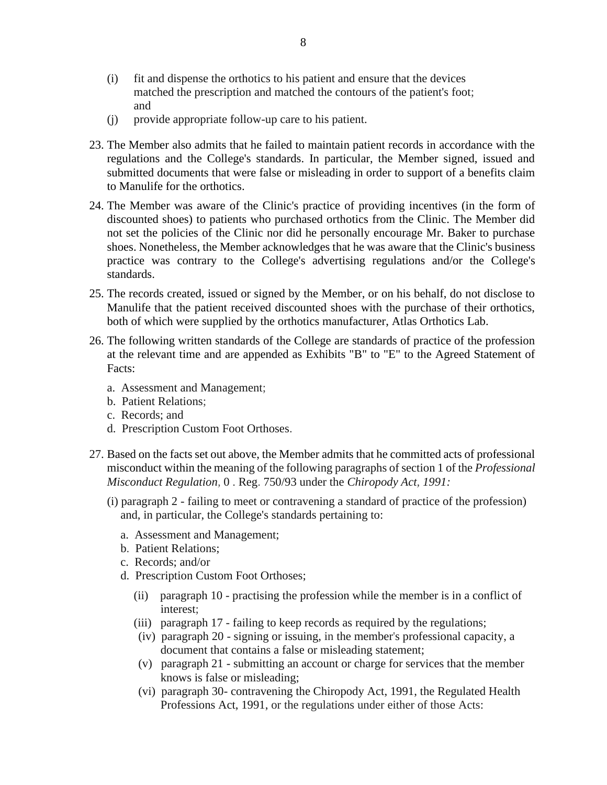- (i) fit and dispense the orthotics to his patient and ensure that the devices matched the prescription and matched the contours of the patient's foot; and
- (j) provide appropriate follow-up care to his patient.
- 23. The Member also admits that he failed to maintain patient records in accordance with the regulations and the College's standards. In particular, the Member signed, issued and submitted documents that were false or misleading in order to support of a benefits claim to Manulife for the orthotics.
- 24. The Member was aware of the Clinic's practice of providing incentives (in the form of discounted shoes) to patients who purchased orthotics from the Clinic. The Member did not set the policies of the Clinic nor did he personally encourage Mr. Baker to purchase shoes. Nonetheless, the Member acknowledges that he was aware that the Clinic's business practice was contrary to the College's advertising regulations and/or the College's standards.
- 25. The records created, issued or signed by the Member, or on his behalf, do not disclose to Manulife that the patient received discounted shoes with the purchase of their orthotics, both of which were supplied by the orthotics manufacturer, Atlas Orthotics Lab.
- 26. The following written standards of the College are standards of practice of the profession at the relevant time and are appended as Exhibits "B" to "E" to the Agreed Statement of Facts:
	- a. Assessment and Management;
	- b. Patient Relations;
	- c. Records; and
	- d. Prescription Custom Foot Orthoses.
- 27. Based on the facts set out above, the Member admits that he committed acts of professional misconduct within the meaning of the following paragraphs of section 1 of the *Professional Misconduct Regulation,* 0 . Reg. 750/93 under the *Chiropody Act, 1991:*
	- (i) paragraph 2 failing to meet or contravening a standard of practice of the profession) and, in particular, the College's standards pertaining to:
		- a. Assessment and Management;
		- b. Patient Relations;
		- c. Records; and/or
		- d. Prescription Custom Foot Orthoses;
			- (ii) paragraph 10 practising the profession while the member is in a conflict of interest;
			- (iii) paragraph 17 failing to keep records as required by the regulations;
			- (iv) paragraph 20 signing or issuing, in the member's professional capacity, a document that contains a false or misleading statement;
			- (v) paragraph 21 submitting an account or charge for services that the member knows is false or misleading;
			- (vi) paragraph 30- contravening the Chiropody Act, 1991, the Regulated Health Professions Act, 1991, or the regulations under either of those Acts: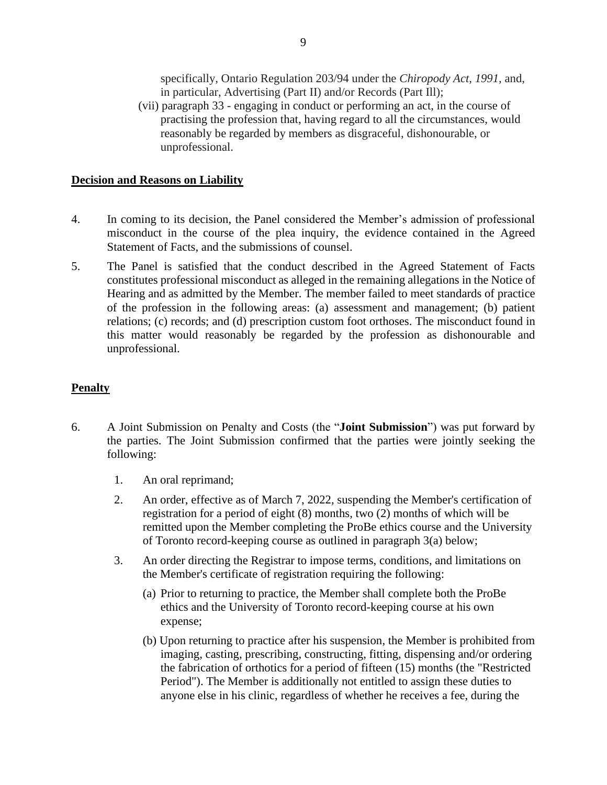specifically, Ontario Regulation 203/94 under the *Chiropody Act, 1991,* and, in particular, Advertising (Part II) and/or Records (Part Ill);

(vii) paragraph 33 - engaging in conduct or performing an act, in the course of practising the profession that, having regard to all the circumstances, would reasonably be regarded by members as disgraceful, dishonourable, or unprofessional.

## **Decision and Reasons on Liability**

- 4. In coming to its decision, the Panel considered the Member's admission of professional misconduct in the course of the plea inquiry, the evidence contained in the Agreed Statement of Facts, and the submissions of counsel.
- 5. The Panel is satisfied that the conduct described in the Agreed Statement of Facts constitutes professional misconduct as alleged in the remaining allegations in the Notice of Hearing and as admitted by the Member. The member failed to meet standards of practice of the profession in the following areas: (a) assessment and management; (b) patient relations; (c) records; and (d) prescription custom foot orthoses. The misconduct found in this matter would reasonably be regarded by the profession as dishonourable and unprofessional.

# **Penalty**

- 6. A Joint Submission on Penalty and Costs (the "**Joint Submission**") was put forward by the parties. The Joint Submission confirmed that the parties were jointly seeking the following:
	- 1. An oral reprimand;
	- 2. An order, effective as of March 7, 2022, suspending the Member's certification of registration for a period of eight (8) months, two (2) months of which will be remitted upon the Member completing the ProBe ethics course and the University of Toronto record-keeping course as outlined in paragraph 3(a) below;
	- 3. An order directing the Registrar to impose terms, conditions, and limitations on the Member's certificate of registration requiring the following:
		- (a) Prior to returning to practice, the Member shall complete both the ProBe ethics and the University of Toronto record-keeping course at his own expense;
		- (b) Upon returning to practice after his suspension, the Member is prohibited from imaging, casting, prescribing, constructing, fitting, dispensing and/or ordering the fabrication of orthotics for a period of fifteen (15) months (the "Restricted Period"). The Member is additionally not entitled to assign these duties to anyone else in his clinic, regardless of whether he receives a fee, during the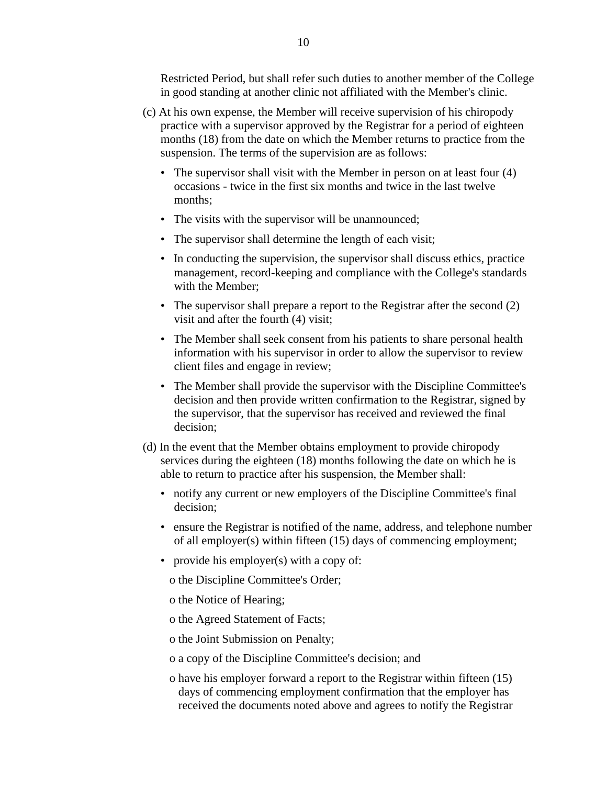Restricted Period, but shall refer such duties to another member of the College in good standing at another clinic not affiliated with the Member's clinic.

- (c) At his own expense, the Member will receive supervision of his chiropody practice with a supervisor approved by the Registrar for a period of eighteen months (18) from the date on which the Member returns to practice from the suspension. The terms of the supervision are as follows:
	- The supervisor shall visit with the Member in person on at least four (4) occasions - twice in the first six months and twice in the last twelve months;
	- The visits with the supervisor will be unannounced;
	- The supervisor shall determine the length of each visit;
	- In conducting the supervision, the supervisor shall discuss ethics, practice management, record-keeping and compliance with the College's standards with the Member;
	- The supervisor shall prepare a report to the Registrar after the second (2) visit and after the fourth (4) visit;
	- The Member shall seek consent from his patients to share personal health information with his supervisor in order to allow the supervisor to review client files and engage in review;
	- The Member shall provide the supervisor with the Discipline Committee's decision and then provide written confirmation to the Registrar, signed by the supervisor, that the supervisor has received and reviewed the final decision;
- (d) In the event that the Member obtains employment to provide chiropody services during the eighteen (18) months following the date on which he is able to return to practice after his suspension, the Member shall:
	- notify any current or new employers of the Discipline Committee's final decision;
	- ensure the Registrar is notified of the name, address, and telephone number of all employer(s) within fifteen (15) days of commencing employment;
	- provide his employer(s) with a copy of:

o the Discipline Committee's Order;

- o the Notice of Hearing;
- o the Agreed Statement of Facts;
- o the Joint Submission on Penalty;
- o a copy of the Discipline Committee's decision; and
- o have his employer forward a report to the Registrar within fifteen (15) days of commencing employment confirmation that the employer has received the documents noted above and agrees to notify the Registrar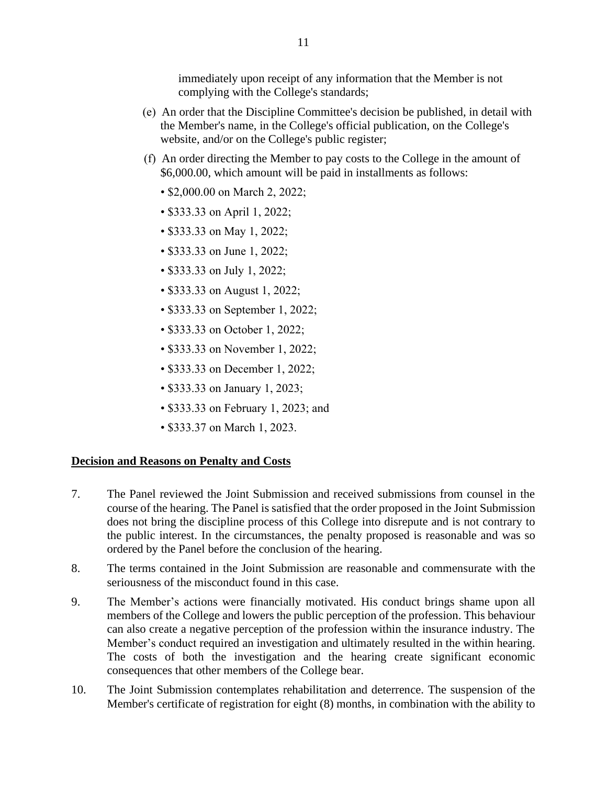immediately upon receipt of any information that the Member is not complying with the College's standards;

- (e) An order that the Discipline Committee's decision be published, in detail with the Member's name, in the College's official publication, on the College's website, and/or on the College's public register;
- (f) An order directing the Member to pay costs to the College in the amount of \$6,000.00, which amount will be paid in installments as follows:
	- \$2,000.00 on March 2, 2022;
	- \$333.33 on April 1, 2022;
	- \$333.33 on May 1, 2022;
	- \$333.33 on June 1, 2022;
	- \$333.33 on July 1, 2022;
	- \$333.33 on August 1, 2022;
	- \$333.33 on September 1, 2022;
	- \$333.33 on October 1, 2022;
	- \$333.33 on November 1, 2022;
	- \$333.33 on December 1, 2022;
	- \$333.33 on January 1, 2023;
	- \$333.33 on February 1, 2023; and
	- \$333.37 on March 1, 2023.

# **Decision and Reasons on Penalty and Costs**

- 7. The Panel reviewed the Joint Submission and received submissions from counsel in the course of the hearing. The Panel is satisfied that the order proposed in the Joint Submission does not bring the discipline process of this College into disrepute and is not contrary to the public interest. In the circumstances, the penalty proposed is reasonable and was so ordered by the Panel before the conclusion of the hearing.
- 8. The terms contained in the Joint Submission are reasonable and commensurate with the seriousness of the misconduct found in this case.
- 9. The Member's actions were financially motivated. His conduct brings shame upon all members of the College and lowers the public perception of the profession. This behaviour can also create a negative perception of the profession within the insurance industry. The Member's conduct required an investigation and ultimately resulted in the within hearing. The costs of both the investigation and the hearing create significant economic consequences that other members of the College bear.
- 10. The Joint Submission contemplates rehabilitation and deterrence. The suspension of the Member's certificate of registration for eight (8) months, in combination with the ability to